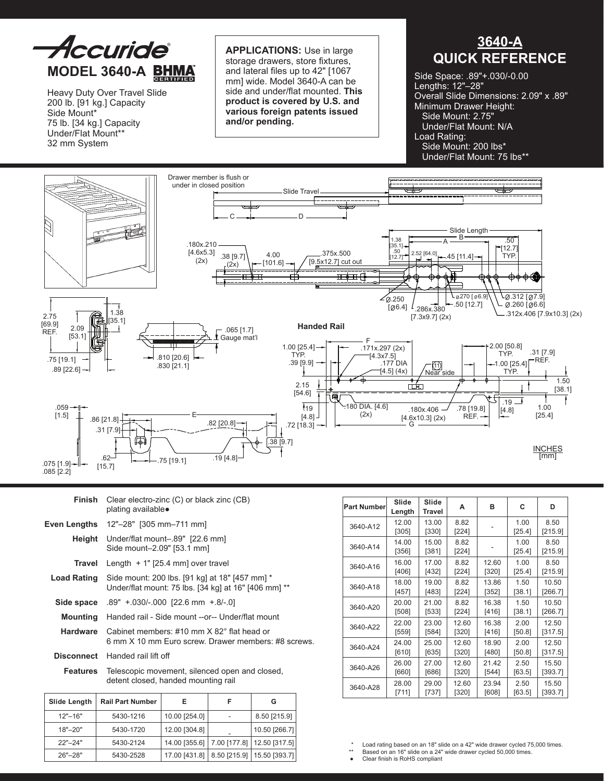

Heavy Duty Over Travel Slide 200 lb. [91 kg.] Capacity Side Mount\* 75 lb. [34 kg.] Capacity Under/Flat Mount\*\* 32 mm System

**Applications:** Use in large storage drawers, store fixtures, and lateral files up to 42" [1067 mm] wide. Model 3640-A can be side and under/flat mounted. **This product is covered by U.S. and various foreign patents issued and/or pending.**

# **3640-A QUICK REFERENCE**

Side Space: .89"+.030/-0.00 Lengths: 12"–28" Overall Slide Dimensions: 2.09" x .89" Minimum Drawer Height: Side Mount: 2.75" Under/Flat Mount: N/A Load Rating: Side Mount: 200 lbs\* Under/Flat Mount: 75 lbs\*\*



| Finish             | Clear electro-zinc (C) or black zinc (CB)<br>plating available●                                        |
|--------------------|--------------------------------------------------------------------------------------------------------|
| Even Lengths       | $12" - 28"$ [305 mm-711 mm]                                                                            |
|                    | Height Under/flat mount-89" [22.6 mm]<br>Side mount-2.09" [53.1 mm]                                    |
| Travel             | Length $+1$ " [25.4 mm] over travel                                                                    |
| <b>Load Rating</b> | Side mount: 200 lbs. [91 kg] at 18" [457 mm] *<br>Under/flat mount: 75 lbs. [34 kg] at 16" [406 mm] ** |
|                    | <b>Side space</b> $.89'' + 030/-000$ [22.6 mm $+ 8/-0$ ]                                               |
| Mounting           | Handed rail - Side mount --or-- Under/flat mount                                                       |
| Hardware           | Cabinet members: #10 mm X 82° flat head or<br>6 mm X 10 mm Euro screw. Drawer members: #8 screws.      |
| <b>Disconnect</b>  | Handed rail lift off                                                                                   |
| Features           | Telescopic movement, silenced open and closed,<br>detent closed, handed mounting rail                  |

| <b>Part Number</b> | Slide<br>Length | Slide<br>Travel | А             | в     | C              | D               |
|--------------------|-----------------|-----------------|---------------|-------|----------------|-----------------|
| 3640-A12           | 12.00<br>[305]  | 13.00<br>[330]  | 8.82<br>[224] |       | 1.00<br>[25.4] | 8.50<br>[215.9] |
| 3640-A14           | 14.00<br>[356]  | 15.00<br>[381]  | 8.82<br>[224] |       | 1.00<br>[25.4] | 8.50<br>[215.9] |
| 3640-A16           | 16.00           | 17.00           | 8.82          | 12.60 | 1.00           | 8.50            |
|                    | $[406]$         | [432]           | [224]         | [320] | [25.4]         | [215.9]         |
| 3640-A18           | 18.00           | 19.00           | 8.82          | 13.86 | 1.50           | 10.50           |
|                    | [457]           | [483]           | [224]         | [352] | [38.1]         | [266.7]         |
| 3640-A20           | 20.00           | 21.00           | 8.82          | 16.38 | 1.50           | 10.50           |
|                    | [508]           | [533]           | [224]         | [416] | [38.1]         | [266.7]         |
| 3640-A22           | 22.00           | 23.00           | 12.60         | 16.38 | 2.00           | 12.50           |
|                    | [559]           | [584]           | [320]         | [416] | [50.8]         | [317.5]         |
| 3640-A24           | 24.00           | 25.00           | 12.60         | 18.90 | 2.00           | 12.50           |
|                    | [610]           | [635]           | [320]         | [480] | [50.8]         | [317.5]         |
| 3640-A26           | 26.00           | 27.00           | 12.60         | 21.42 | 2.50           | 15.50           |
|                    | [660]           | [686]           | [320]         | [544] | [63.5]         | [393.7]         |
| 3640-A28           | 28.00           | 29.00           | 12.60         | 23.94 | 2.50           | 15.50           |
|                    | [711]           | [737]           | [320]         | [608] | [63.5]         | [393.7]         |

| Slide Length | <b>Rail Part Number</b> | Е             | F | G                                            |
|--------------|-------------------------|---------------|---|----------------------------------------------|
| $12" - 16"$  | 5430-1216               | 10.00 [254.0] |   | 8.50 [215.9]                                 |
| $18" - 20"$  | 5430-1720               | 12.00 [304.8] |   | 10.50 [266.7]                                |
| $22" - 24"$  | 5430-2124               | 14.00 [355.6] |   | 7.00 [177.8]   12.50 [317.5]                 |
| $26 - 28$    | 5430-2528               |               |   | 17.00 [431.8]   8.50 [215.9]   15.50 [393.7] |

\* Load rating based on an 18" slide on a 42" wide drawer cycled 75,000 times.

\*\* Based on an 16" slide on a 24" wide drawer cycled 50,000 times.

Clear finish is RoHS compliant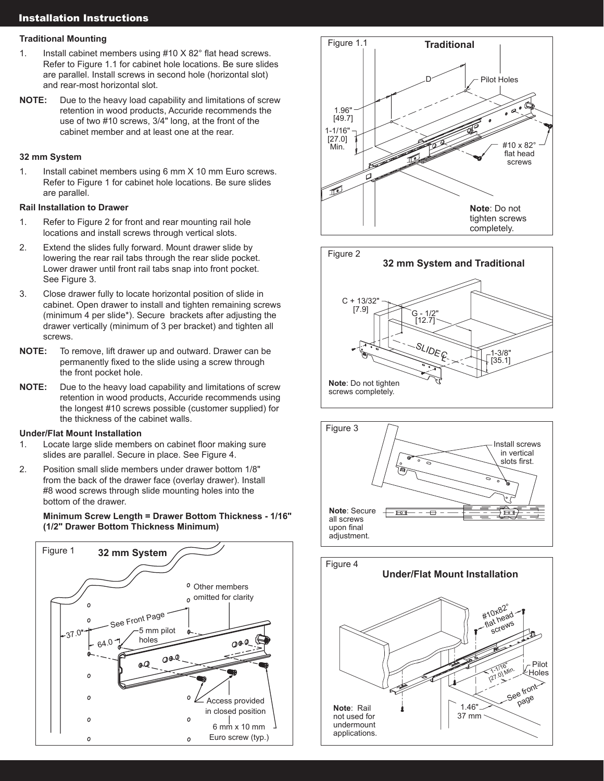# Installation Instructions

## **Traditional Mounting**

- 1. Install cabinet members using #10 X 82° flat head screws. Refer to Figure 1.1 for cabinet hole locations. Be sure slides are parallel. Install screws in second hole (horizontal slot) and rear-most horizontal slot.
- **NOTE:** Due to the heavy load capability and limitations of screw retention in wood products, Accuride recommends the use of two #10 screws, 3/4" long, at the front of the cabinet member and at least one at the rear.

# **32 mm System**

1. Install cabinet members using 6 mm X 10 mm Euro screws. Refer to Figure 1 for cabinet hole locations. Be sure slides are parallel.

## **Rail Installation to Drawer**

- 1. Refer to Figure 2 for front and rear mounting rail hole locations and install screws through vertical slots.
- 2. Extend the slides fully forward. Mount drawer slide by lowering the rear rail tabs through the rear slide pocket. Lower drawer until front rail tabs snap into front pocket. See Figure 3.
- 3. Close drawer fully to locate horizontal position of slide in cabinet. Open drawer to install and tighten remaining screws (minimum 4 per slide\*). Secure brackets after adjusting the drawer vertically (minimum of 3 per bracket) and tighten all screws.
- **NOTE:** To remove, lift drawer up and outward. Drawer can be permanently fixed to the slide using a screw through the front pocket hole.
- **NOTE:** Due to the heavy load capability and limitations of screw retention in wood products, Accuride recommends using the longest #10 screws possible (customer supplied) for the thickness of the cabinet walls.

# **Under/Flat Mount Installation**

- 1. Locate large slide members on cabinet floor making sure slides are parallel. Secure in place. See Figure 4.
- 2. Position small slide members under drawer bottom 1/8" from the back of the drawer face (overlay drawer). Install #8 wood screws through slide mounting holes into the bottom of the drawer.

 **Minimum Screw Length = Drawer Bottom Thickness - 1/16" (1/2" Drawer Bottom Thickness Minimum)** 







![](_page_1_Figure_19.jpeg)

![](_page_1_Figure_20.jpeg)